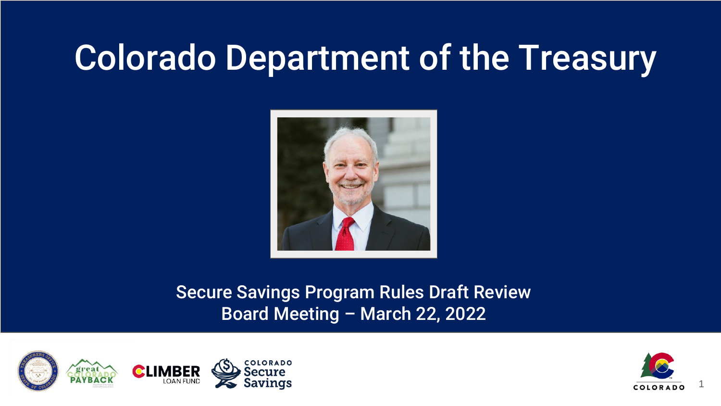# Colorado Department of the Treasury



#### Secure Savings Program Rules Draft Review Board Meeting – March 22, 2022



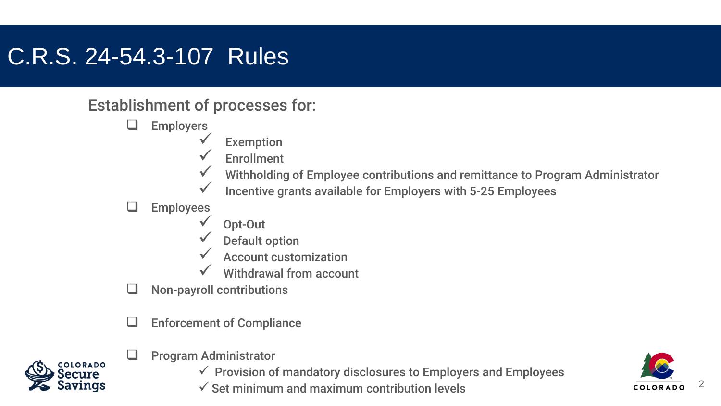#### C.R.S. 24-54.3-107 Rules

#### Establishment of processes for:

- **Employers** 
	- Exemption
	- **Enrollment**
	- Withholding of Employee contributions and remittance to Program Administrator
	- Incentive grants available for Employers with 5-25 Employees

#### $\Box$  Employees

- Opt-Out
- Default option
- Account customization
- Withdrawal from account
- $\Box$  Non-payroll contributions
- $\Box$  Enforcement of Compliance



- $\Box$  Program Administrator
	- $\checkmark$  Provision of mandatory disclosures to Employers and Employees
	- $\checkmark$  Set minimum and maximum contribution levels

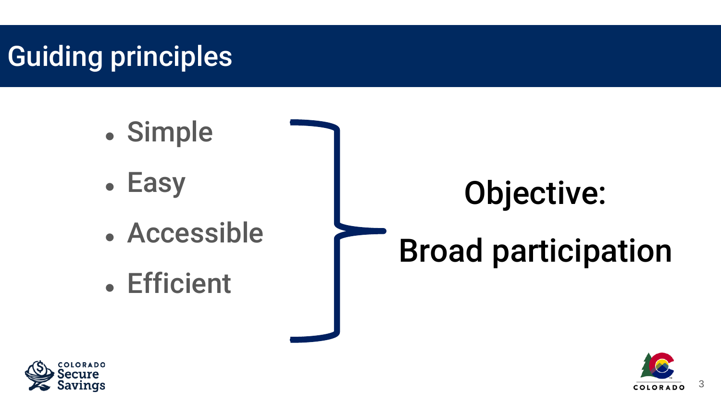## Guiding principles

- Simple
- Easy
- Accessible
- Efficient

# Objective:

# Broad participation



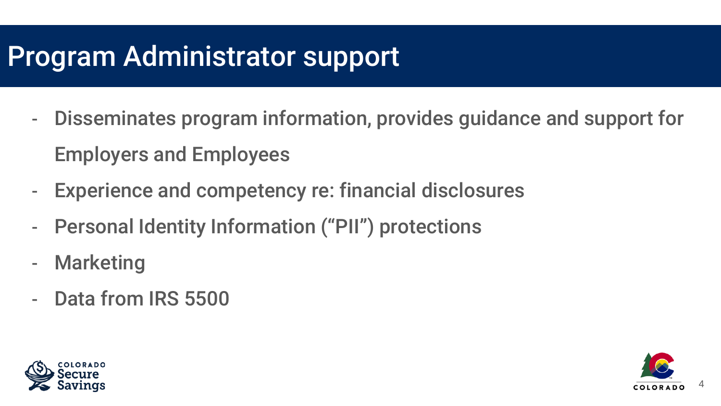### Program Administrator support

- Disseminates program information, provides guidance and support for Employers and Employees
- Experience and competency re: financial disclosures
- Personal Identity Information ("PII") protections
- Marketing
- Data from IRS 5500



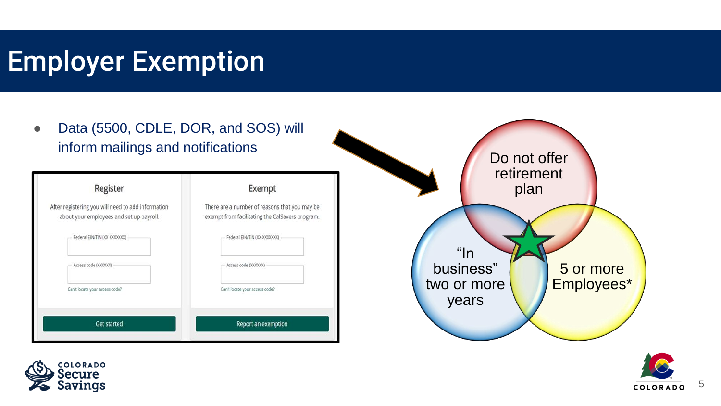### Employer Exemption





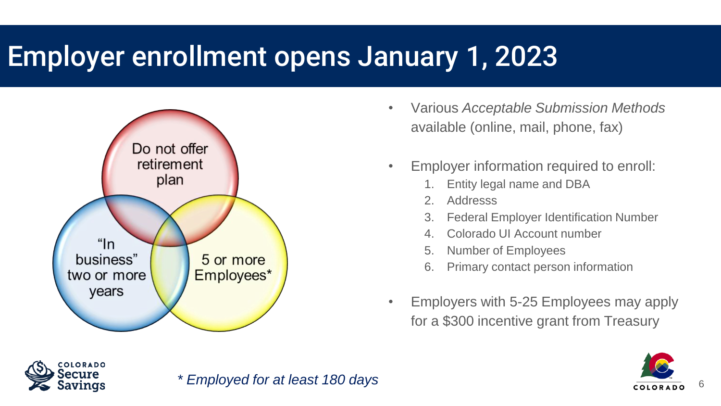### Employer enrollment opens January 1, 2023



- Various *Acceptable Submission Methods*  available (online, mail, phone, fax)
- Employer information required to enroll:
	- 1. Entity legal name and DBA
	- 2. Addresss
	- 3. Federal Employer Identification Number
	- 4. Colorado UI Account number
	- 5. Number of Employees
	- 6. Primary contact person information
- Employers with 5-25 Employees may apply for a \$300 incentive grant from Treasury



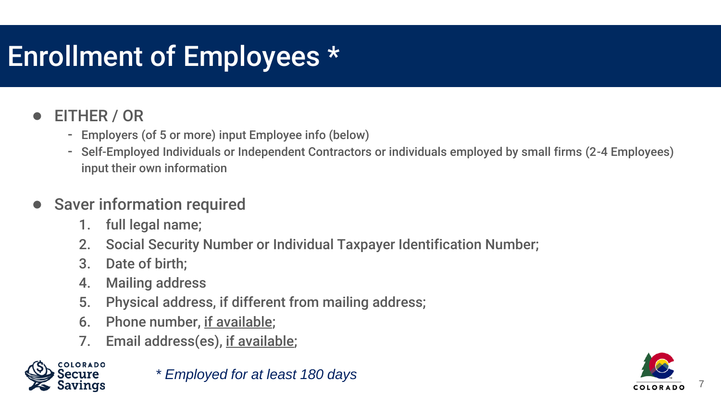### Enrollment of Employees \*

#### EITHER / OR

- Employers (of 5 or more) input Employee info (below)
- Self-Employed Individuals or Independent Contractors or individuals employed by small firms (2-4 Employees) input their own information

#### ● Saver information required

- 1. full legal name;
- 2. Social Security Number or Individual Taxpayer Identification Number;
- 3. Date of birth;
- 4. Mailing address
- 5. Physical address, if different from mailing address;
- 6. Phone number, if available;
- 7. Email address(es), if available;



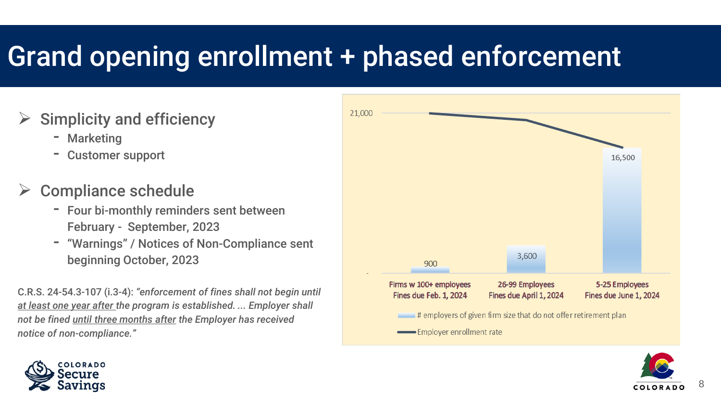### Grand opening enrollment + phased enforcement

#### Simplicity and efficiency

- **Marketing**
- Customer support

#### Compliance schedule

- Four bi-monthly reminders sent between February - September, 2023
- "Warnings" / Notices of Non-Compliance sent beginning October, 2023

C.R.S. 24-54.3-107 (i.3-4): *"enforcement of fines shall not begin until at least one year after the program is established. ... Employer shall not be fined until three months after the Employer has received notice of non-compliance."* 





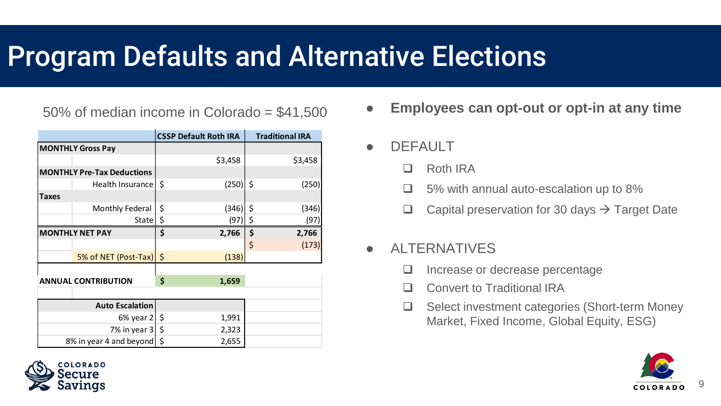### Program Defaults and Alternative Elections

|                                   |                        |     | <b>CSSP Default Roth IRA</b> | <b>Traditional IRA</b> |
|-----------------------------------|------------------------|-----|------------------------------|------------------------|
| <b>MONTHLY Gross Pay</b>          |                        |     |                              |                        |
|                                   |                        |     | \$3,458                      | \$3,458                |
| <b>MONTHLY Pre-Tax Deductions</b> |                        |     |                              |                        |
|                                   | Health Insurance       | \$  | (250)                        | \$<br>(250)            |
| <b>Taxes</b>                      |                        |     |                              |                        |
|                                   | Monthly Federal        | \$  | (346)                        | \$<br>(346)            |
|                                   | State                  | \$  | (97)                         | \$<br>(97)             |
| <b>MONTHLY NET PAY</b>            |                        | \$  | 2,766                        | \$<br>2,766            |
|                                   |                        |     |                              | \$<br>(173)            |
|                                   | 5% of NET (Post-Tax)   | \$  | (138)                        |                        |
|                                   |                        |     |                              |                        |
| <b>ANNUAL CONTRIBUTION</b>        |                        | Ś   | 1,659                        |                        |
|                                   |                        |     |                              |                        |
|                                   | <b>Auto Escalation</b> |     |                              |                        |
| $6\%$ year 2                      |                        | -\$ | 1,991                        |                        |
| 7% in year 3                      |                        | \$  | 2,323                        |                        |
| 8% in year 4 and beyond           |                        | \$  | 2,655                        |                        |



- **DEFAULT** 
	- Roth IRA
	- 5% with annual auto-escalation up to 8%
	- $\Box$  Capital preservation for 30 days  $\rightarrow$  Target Date
- ALTERNATIVES
	- □ Increase or decrease percentage
	- Convert to Traditional IRA
	- □ Select investment categories (Short-term Money Market, Fixed Income, Global Equity, ESG)